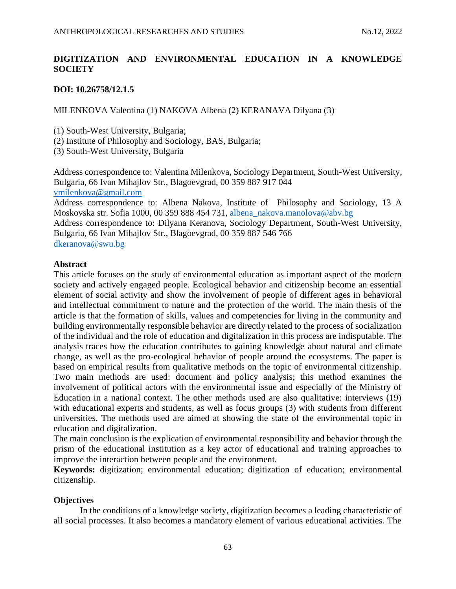# **DIGITIZATION AND ENVIRONMENTAL EDUCATION IN A KNOWLEDGE SOCIETY**

# **DOI: 10.26758/12.1.5**

MILENKOVA Valentina (1) NAKOVA Albena (2) KERANAVA Dilyana (3)

(1) South-West University, Bulgaria;

(2) Institute of Philosophy and Sociology, BAS, Bulgaria;

(3) South-West University, Bulgaria

Address correspondence to: Valentina Milenkova, Sociology Department, South-West University, Bulgaria, 66 Ivan Mihajlov Str., Blagoevgrad, 00 359 887 917 044 [vmilenkova@gmail.com](mailto:vmilenkova@gmail.com)

Address correspondence to: Albena Nakova, Institute of Philosophy and Sociology, 13 A Moskovska str. Sofia 1000, 00 359 888 454 731, [albena\\_nakova.manolova@abv.bg](mailto:albena_nakova.manolova@abv.bg) Address correspondence to: Dilyana Keranova, Sociology Department, South-West University, Bulgaria, 66 Ivan Mihajlov Str., Blagoevgrad, 00 359 887 546 766

[dkeranova@swu.bg](mailto:dkeranova@swu.bg)

# **Abstract**

This article focuses on the study of environmental education as important aspect of the modern society and actively engaged people. Ecological behavior and citizenship become an essential element of social activity and show the involvement of people of different ages in behavioral and intellectual commitment to nature and the protection of the world. The main thesis of the article is that the formation of skills, values and competencies for living in the community and building environmentally responsible behavior are directly related to the process of socialization of the individual and the role of education and digitalization in this process are indisputable. The analysis traces how the education contributes to gaining knowledge about natural and climate change, as well as the pro-ecological behavior of people around the ecosystems. The paper is based on empirical results from qualitative methods on the topic of environmental citizenship. Two main methods are used: document and policy analysis; this method examines the involvement of political actors with the environmental issue and especially of the Ministry of Education in a national context. The other methods used are also qualitative: interviews (19) with educational experts and students, as well as focus groups (3) with students from different universities. The methods used are aimed at showing the state of the environmental topic in education and digitalization.

The main conclusion is the explication of environmental responsibility and behavior through the prism of the educational institution as a key actor of educational and training approaches to improve the interaction between people and the environment.

**Keywords:** digitization; environmental education; digitization of education; environmental citizenship.

# **Objectives**

In the conditions of a knowledge society, digitization becomes a leading characteristic of all social processes. It also becomes a mandatory element of various educational activities. The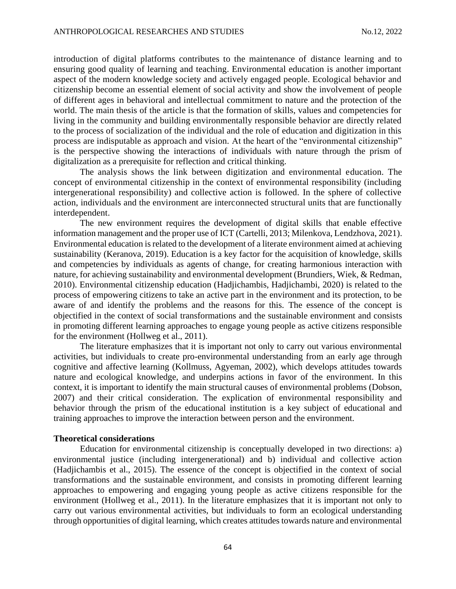introduction of digital platforms contributes to the maintenance of distance learning and to ensuring good quality of learning and teaching. Environmental education is another important aspect of the modern knowledge society and actively engaged people. Ecological behavior and citizenship become an essential element of social activity and show the involvement of people of different ages in behavioral and intellectual commitment to nature and the protection of the world. The main thesis of the article is that the formation of skills, values and competencies for living in the community and building environmentally responsible behavior are directly related to the process of socialization of the individual and the role of education and digitization in this process are indisputable as approach and vision. At the heart of the "environmental citizenship" is the perspective showing the interactions of individuals with nature through the prism of digitalization as a prerequisite for reflection and critical thinking.

The analysis shows the link between digitization and environmental education. The concept of environmental citizenship in the context of environmental responsibility (including intergenerational responsibility) and collective action is followed. In the sphere of collective action, individuals and the environment are interconnected structural units that are functionally interdependent.

The new environment requires the development of digital skills that enable effective information management and the proper use of ICT (Cartelli, 2013; Milenkova, Lendzhova, 2021). Environmental education is related to the development of a literate environment aimed at achieving sustainability (Keranova, 2019). Education is a key factor for the acquisition of knowledge, skills and competencies by individuals as agents of change, for creating harmonious interaction with nature, for achieving sustainability and environmental development (Brundiers, Wiek, & Redman, 2010). Environmental citizenship education (Hadjichambis, Hadjichambi, 2020) is related to the process of empowering citizens to take an active part in the environment and its protection, to be aware of and identify the problems and the reasons for this. The essence of the concept is objectified in the context of social transformations and the sustainable environment and consists in promoting different learning approaches to engage young people as active citizens responsible for the environment (Hollweg et al., 2011).

The literature emphasizes that it is important not only to carry out various environmental activities, but individuals to create pro-environmental understanding from an early age through cognitive and affective learning (Kollmuss, Agyeman, 2002), which develops attitudes towards nature and ecological knowledge, and underpins actions in favor of the environment. In this context, it is important to identify the main structural causes of environmental problems (Dobson, 2007) and their critical consideration. The explication of environmental responsibility and behavior through the prism of the educational institution is a key subject of educational and training approaches to improve the interaction between person and the environment.

#### **Theoretical considerations**

Education for environmental citizenship is conceptually developed in two directions: a) environmental justice (including intergenerational) and b) individual and collective action (Hadjichambis et al., 2015). The essence of the concept is objectified in the context of social transformations and the sustainable environment, and consists in promoting different learning approaches to empowering and engaging young people as active citizens responsible for the environment (Hollweg et al., 2011). In the literature emphasizes that it is important not only to carry out various environmental activities, but individuals to form an ecological understanding through opportunities of digital learning, which creates attitudes towards nature and environmental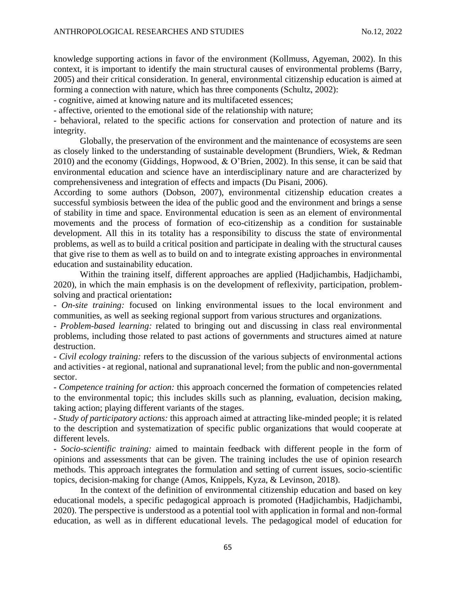knowledge supporting actions in favor of the environment (Kollmuss, Agyeman, 2002). In this context, it is important to identify the main structural causes of environmental problems (Barry, 2005) and their critical consideration. In general, environmental citizenship education is aimed at forming a connection with nature, which has three components (Schultz, 2002):

- cognitive, aimed at knowing nature and its multifaceted essences;

- affective, oriented to the emotional side of the relationship with nature;

- behavioral, related to the specific actions for conservation and protection of nature and its integrity.

Globally, the preservation of the environment and the maintenance of ecosystems are seen as closely linked to the understanding of sustainable development (Brundiers, Wiek, & Redman 2010) and the economy (Giddings, Hopwood, & O'Brien, 2002). In this sense, it can be said that environmental education and science have an interdisciplinary nature and are characterized by comprehensiveness and integration of effects and impacts (Du Pisani, 2006).

According to some authors (Dobson, 2007), environmental citizenship education creates a successful symbiosis between the idea of the public good and the environment and brings a sense of stability in time and space. Environmental education is seen as an element of environmental movements and the process of formation of eco-citizenship as a condition for sustainable development. All this in its totality has a responsibility to discuss the state of environmental problems, as well as to build a critical position and participate in dealing with the structural causes that give rise to them as well as to build on and to integrate existing approaches in environmental education and sustainability education.

Within the training itself, different approaches are applied (Hadjichambis, Hadjichambi, 2020), in which the main emphasis is on the development of reflexivity, participation, problemsolving and practical orientation**:**

*- On-site training:* focused on linking environmental issues to the local environment and communities, as well as seeking regional support from various structures and organizations.

*- Problem-based learning:* related to bringing out and discussing in class real environmental problems, including those related to past actions of governments and structures aimed at nature destruction.

*- Civil ecology training:* refers to the discussion of the various subjects of environmental actions and activities - at regional, national and supranational level; from the public and non-governmental sector.

*- Competence training for action:* this approach concerned the formation of competencies related to the environmental topic; this includes skills such as planning, evaluation, decision making, taking action; playing different variants of the stages.

*- Study of participatory actions:* this approach aimed at attracting like-minded people; it is related to the description and systematization of specific public organizations that would cooperate at different levels.

*- Socio-scientific training:* aimed to maintain feedback with different people in the form of opinions and assessments that can be given. The training includes the use of opinion research methods. This approach integrates the formulation and setting of current issues, socio-scientific topics, decision-making for change (Amos, Knippels, Kyza, & Levinson, 2018).

In the context of the definition of environmental citizenship education and based on key educational models, a specific pedagogical approach is promoted (Hadjichambis, Hadjichambi, 2020). The perspective is understood as a potential tool with application in formal and non-formal education, as well as in different educational levels. The pedagogical model of education for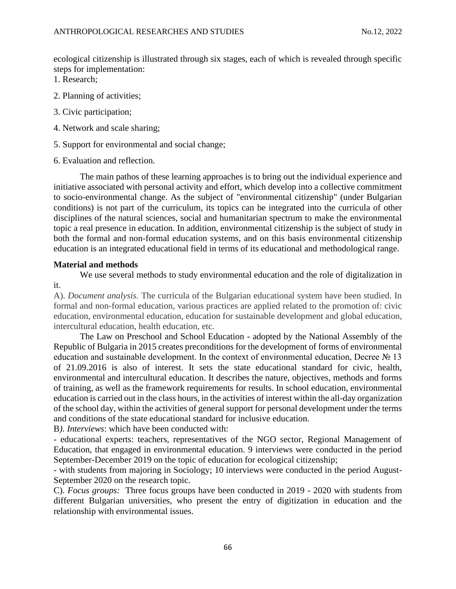ecological citizenship is illustrated through six stages, each of which is revealed through specific steps for implementation:

- 1. Research;
- 2. Planning of activities;
- 3. Civic participation;
- 4. Network and scale sharing;
- 5. Support for environmental and social change;
- 6. Evaluation and reflection.

The main pathos of these learning approaches is to bring out the individual experience and initiative associated with personal activity and effort, which develop into a collective commitment to socio-environmental change. As the subject of "environmental citizenship" (under Bulgarian conditions) is not part of the curriculum, its topics can be integrated into the curricula of other disciplines of the natural sciences, social and humanitarian spectrum to make the environmental topic a real presence in education. In addition, environmental citizenship is the subject of study in both the formal and non-formal education systems, and on this basis environmental citizenship education is an integrated educational field in terms of its educational and methodological range.

# **Material and methods**

We use several methods to study environmental education and the role of digitalization in it.

A). *Document analysis.* The curricula of the Bulgarian educational system have been studied. In formal and non-formal education, various practices are applied related to the promotion of: civic education, environmental education, education for sustainable development and global education, intercultural education, health education, etc.

The Law on Preschool and School Education - adopted by the National Assembly of the Republic of Bulgaria in 2015 creates preconditions for the development of forms of environmental education and sustainable development. In the context of environmental education, Decree № 13 of 21.09.2016 is also of interest. It sets the state educational standard for civic, health, environmental and intercultural education. It describes the nature, objectives, methods and forms of training, as well as the framework requirements for results. In school education, environmental education is carried out in the class hours, in the activities of interest within the all-day organization of the school day, within the activities of general support for personal development under the terms and conditions of the state educational standard for inclusive education.

B*). Interviews*: which have been conducted with:

- educational experts: teachers, representatives of the NGO sector, Regional Management of Education, that engaged in environmental education. 9 interviews were conducted in the period September-December 2019 on the topic of education for ecological citizenship;

- with students from majoring in Sociology; 10 interviews were conducted in the period August-September 2020 on the research topic.

C). *Focus groups:* Three focus groups have been conducted in 2019 - 2020 with students from different Bulgarian universities, who present the entry of digitization in education and the relationship with environmental issues.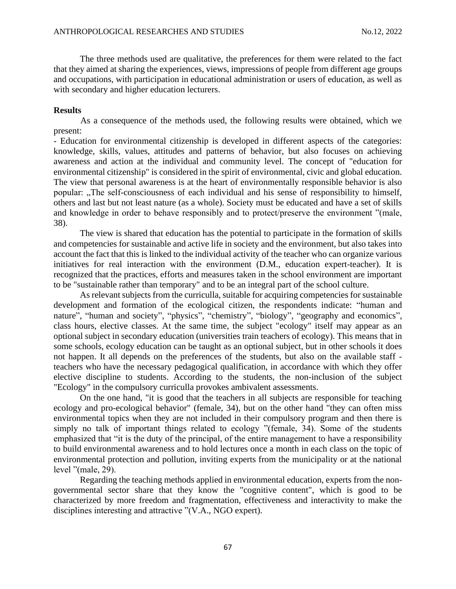The three methods used are qualitative, the preferences for them were related to the fact that they aimed at sharing the experiences, views, impressions of people from different age groups and occupations, with participation in educational administration or users of education, as well as with secondary and higher education lecturers.

### **Results**

As a consequence of the methods used, the following results were obtained, which we present:

- Education for environmental citizenship is developed in different aspects of the categories: knowledge, skills, values, attitudes and patterns of behavior, but also focuses on achieving awareness and action at the individual and community level. The concept of "education for environmental citizenship" is considered in the spirit of environmental, civic and global education. The view that personal awareness is at the heart of environmentally responsible behavior is also popular: "The self-consciousness of each individual and his sense of responsibility to himself, others and last but not least nature (as a whole). Society must be educated and have a set of skills and knowledge in order to behave responsibly and to protect/preserve the environment "(male, 38).

The view is shared that education has the potential to participate in the formation of skills and competencies for sustainable and active life in society and the environment, but also takes into account the fact that this is linked to the individual activity of the teacher who can organize various initiatives for real interaction with the environment (D.M., education expert-teacher). It is recognized that the practices, efforts and measures taken in the school environment are important to be "sustainable rather than temporary" and to be an integral part of the school culture.

As relevant subjects from the curriculla, suitable for acquiring competencies for sustainable development and formation of the ecological citizen, the respondents indicate: "human and nature", "human and society", "physics", "chemistry", "biology", "geography and economics", class hours, elective classes. At the same time, the subject "ecology" itself may appear as an optional subject in secondary education (universities train teachers of ecology). This means that in some schools, ecology education can be taught as an optional subject, but in other schools it does not happen. It all depends on the preferences of the students, but also on the available staff teachers who have the necessary pedagogical qualification, in accordance with which they offer elective discipline to students. According to the students, the non-inclusion of the subject "Ecology" in the compulsory curriculla provokes ambivalent assessments.

On the one hand, "it is good that the teachers in all subjects are responsible for teaching ecology and pro-ecological behavior" (female, 34), but on the other hand "they can often miss environmental topics when they are not included in their compulsory program and then there is simply no talk of important things related to ecology "(female, 34). Some of the students emphasized that "it is the duty of the principal, of the entire management to have a responsibility to build environmental awareness and to hold lectures once a month in each class on the topic of environmental protection and pollution, inviting experts from the municipality or at the national level "(male, 29).

Regarding the teaching methods applied in environmental education, experts from the nongovernmental sector share that they know the "cognitive content", which is good to be characterized by more freedom and fragmentation, effectiveness and interactivity to make the disciplines interesting and attractive "(V.A., NGO expert).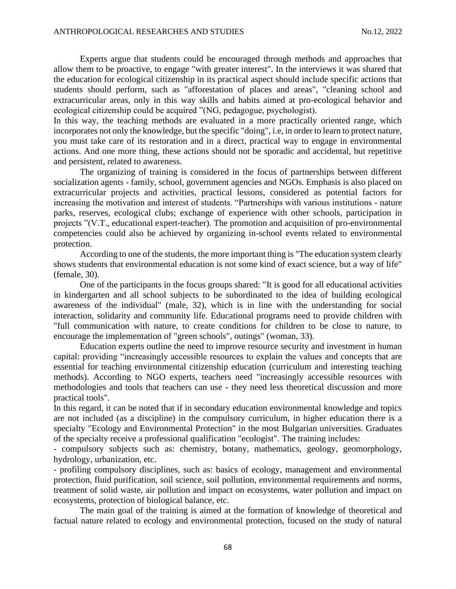Experts argue that students could be encouraged through methods and approaches that allow them to be proactive, to engage "with greater interest". In the interviews it was shared that the education for ecological citizenship in its practical aspect should include specific actions that students should perform, such as "afforestation of places and areas", "cleaning school and extracurricular areas, only in this way skills and habits aimed at pro-ecological behavior and ecological citizenship could be acquired "(NG, pedagogue, psychologist).

In this way, the teaching methods are evaluated in a more practically oriented range, which incorporates not only the knowledge, but the specific "doing", i.e, in order to learn to protect nature, you must take care of its restoration and in a direct, practical way to engage in environmental actions. And one more thing, these actions should not be sporadic and accidental, but repetitive and persistent, related to awareness.

The organizing of training is considered in the focus of partnerships between different socialization agents - family, school, government agencies and NGOs. Emphasis is also placed on extracurricular projects and activities, practical lessons, considered as potential factors for increasing the motivation and interest of students. "Partnerships with various institutions - nature parks, reserves, ecological clubs; exchange of experience with other schools, participation in projects "(V.T., educational expert-teacher). The promotion and acquisition of pro-environmental competencies could also be achieved by organizing in-school events related to environmental protection.

According to one of the students, the more important thing is "The education system clearly shows students that environmental education is not some kind of exact science, but a way of life" (female, 30).

One of the participants in the focus groups shared: "It is good for all educational activities in kindergarten and all school subjects to be subordinated to the idea of building ecological awareness of the individual" (male, 32), which is in line with the understanding for social interaction, solidarity and community life. Educational programs need to provide children with "full communication with nature, to create conditions for children to be close to nature, to encourage the implementation of "green schools", outings" (woman, 33).

Education experts outline the need to improve resource security and investment in human capital: providing "increasingly accessible resources to explain the values and concepts that are essential for teaching environmental citizenship education (curriculum and interesting teaching methods). According to NGO experts, teachers need "increasingly accessible resources with methodologies and tools that teachers can use - they need less theoretical discussion and more practical tools".

In this regard, it can be noted that if in secondary education environmental knowledge and topics are not included (as a discipline) in the compulsory curriculum, in higher education there is a specialty "Ecology and Environmental Protection" in the most Bulgarian universities. Graduates of the specialty receive a professional qualification "ecologist". The training includes:

- compulsory subjects such as: chemistry, botany, mathematics, geology, geomorphology, hydrology, urbanization, etc.

- profiling compulsory disciplines, such as: basics of ecology, management and environmental protection, fluid purification, soil science, soil pollution, environmental requirements and norms, treatment of solid waste, air pollution and impact on ecosystems, water pollution and impact on ecosystems, protection of biological balance, etc.

The main goal of the training is aimed at the formation of knowledge of theoretical and factual nature related to ecology and environmental protection, focused on the study of natural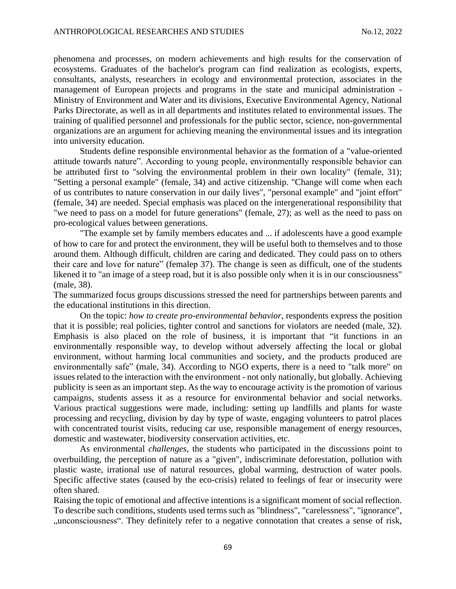phenomena and processes, on modern achievements and high results for the conservation of ecosystems. Graduates of the bachelor's program can find realization as ecologists, experts, consultants, analysts, researchers in ecology and environmental protection, associates in the management of European projects and programs in the state and municipal administration - Ministry of Environment and Water and its divisions, Executive Environmental Agency, National Parks Directorate, as well as in all departments and institutes related to environmental issues. The training of qualified personnel and professionals for the public sector, science, non-governmental organizations are an argument for achieving meaning the environmental issues and its integration into university education.

Students define responsible environmental behavior as the formation of a "value-oriented attitude towards nature". According to young people, environmentally responsible behavior can be attributed first to "solving the environmental problem in their own locality" (female, 31); "Setting a personal example" (female, 34) and active citizenship. "Change will come when each of us contributes to nature conservation in our daily lives", "personal example" and "joint effort" (female, 34) are needed. Special emphasis was placed on the intergenerational responsibility that "we need to pass on a model for future generations" (female, 27); as well as the need to pass on pro-ecological values between generations.

"The example set by family members educates and ... if adolescents have a good example of how to care for and protect the environment, they will be useful both to themselves and to those around them. Although difficult, children are caring and dedicated. They could pass on to others their care and love for nature" (femaleр 37). The change is seen as difficult, one of the students likened it to "an image of a steep road, but it is also possible only when it is in our consciousness" (male, 38).

The summarized focus groups discussions stressed the need for partnerships between parents and the educational institutions in this direction.

On the topic: *how to create pro-environmental behavior*, respondents express the position that it is possible; real policies, tighter control and sanctions for violators are needed (male, 32). Emphasis is also placed on the role of business, it is important that "it functions in an environmentally responsible way, to develop without adversely affecting the local or global environment, without harming local communities and society, and the products produced are environmentally safe" (male, 34). According to NGO experts, there is a need to "talk more" on issues related to the interaction with the environment - not only nationally, but globally. Achieving publicity is seen as an important step. As the way to encourage activity is the promotion of various campaigns, students assess it as a resource for environmental behavior and social networks. Various practical suggestions were made, including: setting up landfills and plants for waste processing and recycling, division by day by type of waste, engaging volunteers to patrol places with concentrated tourist visits, reducing car use, responsible management of energy resources, domestic and wastewater, biodiversity conservation activities, etc.

As environmental *challenges*, the students who participated in the discussions point to overbuilding, the perception of nature as a "given", indiscriminate deforestation, pollution with plastic waste, irrational use of natural resources, global warming, destruction of water pools. Specific affective states (caused by the eco-crisis) related to feelings of fear or insecurity were often shared.

Raising the topic of emotional and affective intentions is a significant moment of social reflection. To describe such conditions, students used terms such as "blindness", "carelessness", "ignorance", "unconsciousness". They definitely refer to a negative connotation that creates a sense of risk,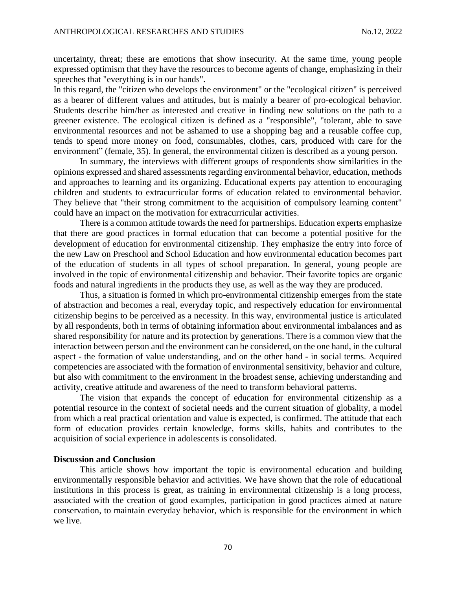uncertainty, threat; these are emotions that show insecurity. At the same time, young people expressed optimism that they have the resources to become agents of change, emphasizing in their speeches that "everything is in our hands".

In this regard, the "citizen who develops the environment" or the "ecological citizen" is perceived as a bearer of different values and attitudes, but is mainly a bearer of pro-ecological behavior. Students describe him/her as interested and creative in finding new solutions on the path to a greener existence. The ecological citizen is defined as a "responsible", "tolerant, able to save environmental resources and not be ashamed to use a shopping bag and a reusable coffee cup, tends to spend more money on food, consumables, clothes, cars, produced with care for the environment" (female, 35). In general, the environmental citizen is described as a young person.

In summary, the interviews with different groups of respondents show similarities in the opinions expressed and shared assessments regarding environmental behavior, education, methods and approaches to learning and its organizing. Educational experts pay attention to encouraging children and students to extracurricular forms of education related to environmental behavior. They believe that "their strong commitment to the acquisition of compulsory learning content" could have an impact on the motivation for extracurricular activities.

There is a common attitude towards the need for partnerships. Education experts emphasize that there are good practices in formal education that can become a potential positive for the development of education for environmental citizenship. They emphasize the entry into force of the new Law on Preschool and School Education and how environmental education becomes part of the education of students in all types of school preparation. In general, young people are involved in the topic of environmental citizenship and behavior. Their favorite topics are organic foods and natural ingredients in the products they use, as well as the way they are produced.

Thus, a situation is formed in which pro-environmental citizenship emerges from the state of abstraction and becomes a real, everyday topic, and respectively education for environmental citizenship begins to be perceived as a necessity. In this way, environmental justice is articulated by all respondents, both in terms of obtaining information about environmental imbalances and as shared responsibility for nature and its protection by generations. There is a common view that the interaction between person and the environment can be considered, on the one hand, in the cultural aspect - the formation of value understanding, and on the other hand - in social terms. Acquired competencies are associated with the formation of environmental sensitivity, behavior and culture, but also with commitment to the environment in the broadest sense, achieving understanding and activity, creative attitude and awareness of the need to transform behavioral patterns.

The vision that expands the concept of education for environmental citizenship as a potential resource in the context of societal needs and the current situation of globality, a model from which a real practical orientation and value is expected, is confirmed. The attitude that each form of education provides certain knowledge, forms skills, habits and contributes to the acquisition of social experience in adolescents is consolidated.

### **Discussion and Conclusion**

This article shows how important the topic is environmental education and building environmentally responsible behavior and activities. We have shown that the role of educational institutions in this process is great, as training in environmental citizenship is a long process, associated with the creation of good examples, participation in good practices aimed at nature conservation, to maintain everyday behavior, which is responsible for the environment in which we live.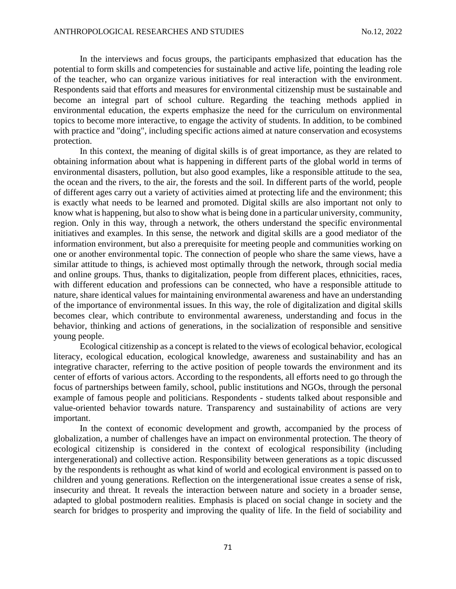In the interviews and focus groups, the participants emphasized that education has the potential to form skills and competencies for sustainable and active life, pointing the leading role of the teacher, who can organize various initiatives for real interaction with the environment. Respondents said that efforts and measures for environmental citizenship must be sustainable and become an integral part of school culture. Regarding the teaching methods applied in environmental education, the experts emphasize the need for the curriculum on environmental topics to become more interactive, to engage the activity of students. In addition, to be combined with practice and "doing", including specific actions aimed at nature conservation and ecosystems protection.

In this context, the meaning of digital skills is of great importance, as they are related to obtaining information about what is happening in different parts of the global world in terms of environmental disasters, pollution, but also good examples, like a responsible attitude to the sea, the ocean and the rivers, to the air, the forests and the soil. In different parts of the world, people of different ages carry out a variety of activities aimed at protecting life and the environment; this is exactly what needs to be learned and promoted. Digital skills are also important not only to know what is happening, but also to show what is being done in a particular university, community, region. Only in this way, through a network, the others understand the specific environmental initiatives and examples. In this sense, the network and digital skills are a good mediator of the information environment, but also a prerequisite for meeting people and communities working on one or another environmental topic. The connection of people who share the same views, have a similar attitude to things, is achieved most optimally through the network, through social media and online groups. Thus, thanks to digitalization, people from different places, ethnicities, races, with different education and professions can be connected, who have a responsible attitude to nature, share identical values for maintaining environmental awareness and have an understanding of the importance of environmental issues. In this way, the role of digitalization and digital skills becomes clear, which contribute to environmental awareness, understanding and focus in the behavior, thinking and actions of generations, in the socialization of responsible and sensitive young people.

Ecological citizenship as a concept is related to the views of ecological behavior, ecological literacy, ecological education, ecological knowledge, awareness and sustainability and has an integrative character, referring to the active position of people towards the environment and its center of efforts of various actors. According to the respondents, all efforts need to go through the focus of partnerships between family, school, public institutions and NGOs, through the personal example of famous people and politicians. Respondents - students talked about responsible and value-oriented behavior towards nature. Transparency and sustainability of actions are very important.

In the context of economic development and growth, accompanied by the process of globalization, a number of challenges have an impact on environmental protection. The theory of ecological citizenship is considered in the context of ecological responsibility (including intergenerational) and collective action. Responsibility between generations as a topic discussed by the respondents is rethought as what kind of world and ecological environment is passed on to children and young generations. Reflection on the intergenerational issue creates a sense of risk, insecurity and threat. It reveals the interaction between nature and society in a broader sense, adapted to global postmodern realities. Emphasis is placed on social change in society and the search for bridges to prosperity and improving the quality of life. In the field of sociability and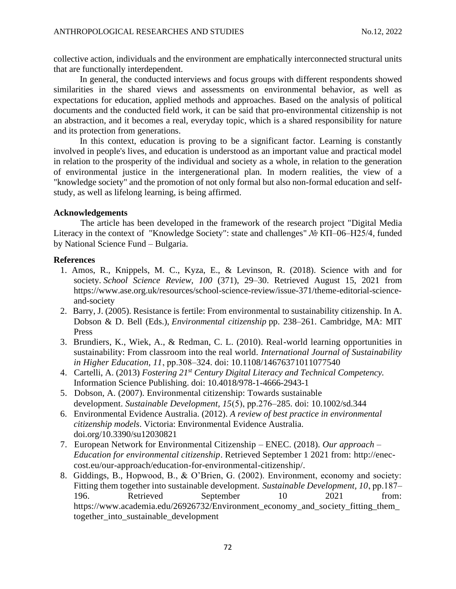collective action, individuals and the environment are emphatically interconnected structural units that are functionally interdependent.

In general, the conducted interviews and focus groups with different respondents showed similarities in the shared views and assessments on environmental behavior, as well as expectations for education, applied methods and approaches. Based on the analysis of political documents and the conducted field work, it can be said that pro-environmental citizenship is not an abstraction, and it becomes a real, everyday topic, which is a shared responsibility for nature and its protection from generations.

In this context, education is proving to be a significant factor. Learning is constantly involved in people's lives, and education is understood as an important value and practical model in relation to the prosperity of the individual and society as a whole, in relation to the generation of environmental justice in the intergenerational plan. In modern realities, the view of a "knowledge society" and the promotion of not only formal but also non-formal education and selfstudy, as well as lifelong learning, is being affirmed.

## **Acknowledgements**

The article has been developed in the framework of the research project "Digital Media Literacy in the context of "Knowledge Society": state and challenges" *№* КП–06–Н25/4*,* funded by National Science Fund – Bulgaria.

#### **References**

- 1. Amos, R., Knippels, M. C., Kyza, E., & Levinson, R. (2018). Science with and for society. *School Science Review, 100* (371), 29–30. Retrieved August 15, 2021 from https://www.ase.org.uk/resources/school-science-review/issue-371/theme-editorial-scienceand-society
- 2. Barry, J. (2005). Resistance is fertile: From environmental to sustainability citizenship. In A. Dobson & D. Bell (Eds.), *Environmental citizenship* pp. 238–261. Cambridge, MA: MIT Press
- 3. Brundiers, K., Wiek, A., & Redman, C. L. (2010). Real-world learning opportunities in sustainability: From classroom into the real world. *International Journal of Sustainability in Higher Education, 11*, рр.308–324. doi: 10.1108/14676371011077540
- 4. Cartelli, A. (2013) *Fostering 21st Century Digital Literacy and Technical Competency.*  Information Science Publishing. doi: 10.4018/978-1-4666-2943-1
- 5. Dobson, A. (2007). Environmental citizenship: Towards sustainable development. *Sustainable Development, 15*(5), рр.276–285. doi: [10.1002/sd.344](https://econpapers.repec.org/scripts/redir.pf?u=https%3A%2F%2Fdoi.org%2F10.1002%252Fsd.344;h=repec:wly:sustdv:v:15:y:2007:i:5:p:276-285)
- 6. Environmental Evidence Australia. (2012). *A review of best practice in environmental citizenship models*. Victoria: Environmental Evidence Australia. [doi.org/10.3390/su12030821](https://doi.org/10.3390/su12030821)
- 7. European Network for Environmental Citizenship ENEC. (2018). *Our approach – Education for environmental citizenship*. Retrieved September 1 2021 from: [http://enec](http://enec-cost.eu/our-approach/education-for-environmental-citizenship/)[cost.eu/our-approach/education-for-environmental-citizenship/.](http://enec-cost.eu/our-approach/education-for-environmental-citizenship/)
- 8. Giddings, B., Hopwood, B., & O'Brien, G. (2002). Environment, economy and society: Fitting them together into sustainable development. *Sustainable Development, 10*, рр.187– 196. Retrieved September 10 2021 from: https://www.academia.edu/26926732/Environment\_economy\_and\_society\_fitting\_them\_ together\_into\_sustainable\_development